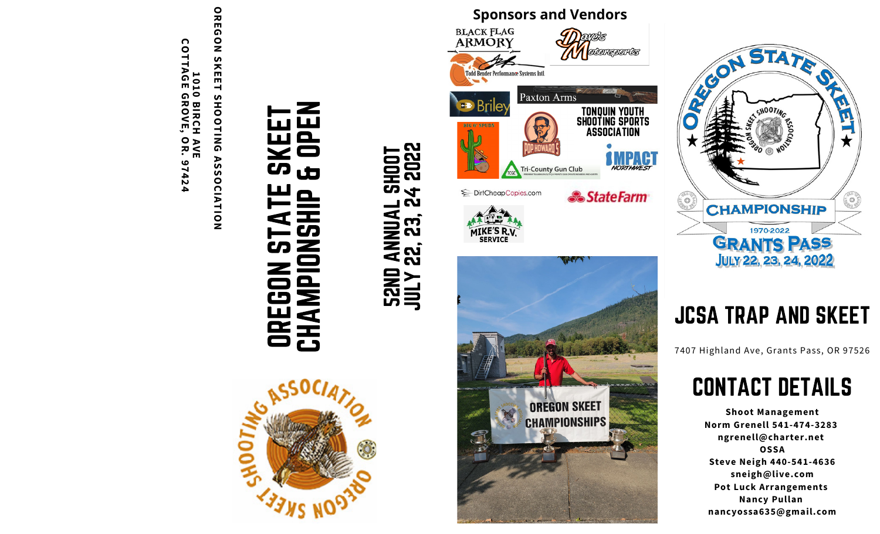

**OREGON SKEET** SHOOTING **SHOOTING ASSOCIATION ASSOCIATION**



# EEN<br>PEN CHAMPIONSHIP & OPEN OREGON STATE SKEET  $\mathbf{C}$ 5  $\frac{1}{\sqrt{2}}$ **OREGON<br>CHAMPIC**

# **SHOOT**<br>TOHR<br>TOHR JULY 22, 23, 24 2022 52ND ANNUAL SHOOT **Qu 52ND ANNUAL<br>JULY 22, 23, 2**





# **JCSA TRAP AND SKEET**

7407 Highland Ave, Grants Pass, OR 97526

# CONTACT DETAILS

**Shoot Management** Norm Grenell 541-474-3283 ngrenell@charter.net **O S S A S t e v e N e i g h 4 4 0 - 5 4 1 - 4 6 3 6** sneigh@live.com **Pot Luck Arrangements N a n c y P u l l a n** nancyossa635@gmail.com